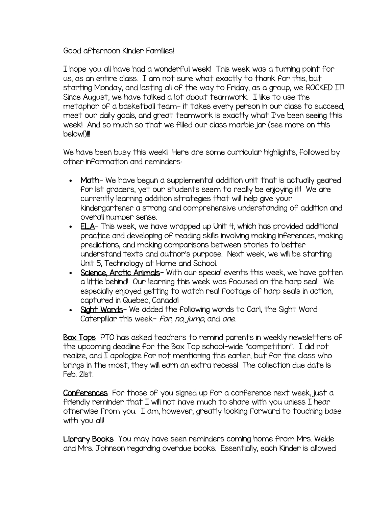## Good afternoon Kinder Families!

I hope you all have had a wonderful week! This week was a turning point for us, as an entire class. I am not sure what exactly to thank for this, but starting Monday, and lasting all of the way to Friday, as a group, we ROCKED IT! Since August, we have talked a lot about teamwork. I like to use the metaphor of a basketball team- it takes every person in our class to succeed, meet our daily goals, and great teamwork is exactly what I've been seeing this week! And so much so that we filled our class marble jar (see more on this below!)!!!

We have been busy this week! Here are some curricular highlights, followed by other information and reminders:

- Math- We have begun a supplemental addition unit that is actually geared for 1st graders, yet our students seem to really be enjoying it! We are currently learning addition strategies that will help give your kindergartener a strong and comprehensive understanding of addition and overall number sense.
- ELA- This week, we have wrapped up Unit 4, which has provided additional practice and developing of reading skills involving making inferences, making predictions, and making comparisons between stories to better understand texts and author's purpose. Next week, we will be starting Unit 5, Technology at Home and School.
- Science, Anctic Animals- With our special events this week, we have gotten a little behind! Our learning this week was focused on the harp seal. We especially enjoyed getting to watch real footage of harp seals in action, captured in Quebec, Canada!
- Sight Words- We added the following words to Carl, the Sight Word Caterpillar this week- *for*, no, jump, and one.

Box Tops PTO has asked teachers to remind parents in weekly newsletters of the upcoming deadline for the Box Top school-wide "competition". I did not realize, and I apologize for not mentioning this earlier, but for the class who brings in the most, they will earn an extra recess! The collection due date is Feb. 21st.

Conferences For those of you signed up for a conference next week, just a friendly reminder that I will not have much to share with you unless I hear otherwise from you. I am, however, greatly looking forward to touching base with you all!

Library Books You may have seen reminders coming home from Mrs. Welde and Mrs. Johnson regarding overdue books. Essentially, each Kinder is allowed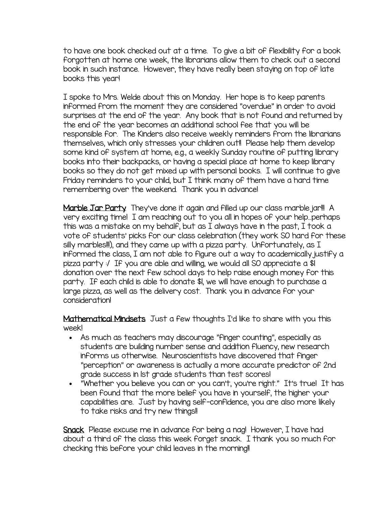to have one book checked out at a time. To give a bit of flexibility for a book forgotten at home one week, the librarians allow them to check out a second book in such instance. However, they have really been staying on top of late books this year!

I spoke to Mrs. Welde about this on Monday. Her hope is to keep parents informed from the moment they are considered "overdue" in order to avoid surprises at the end of the year. Any book that is not found and returned by the end of the year becomes an additional school fee that you will be responsible for. The Kinders also receive weekly reminders from the librarians themselves, which only stresses your children out!! Please help them develop some kind of system at home; e.g., a weekly Sunday routine of putting library books into their backpacks, or having a special place at home to keep library books so they do not get mixed up with personal books. I will continue to give Friday reminders to your child, but I think many of them have a hard time remembering over the weekend. Thank you in advance!

Marble Jar Party They've done it again and filled up our class marble jar!!! A very exciting time! I am reaching out to you all in hopes of your help…perhaps this was a mistake on my behalf, but as I always have in the past, I took a vote of students' picks for our class celebration (they work SO hard for these silly marbles!!!), and they came up with a pizza party. Unfortunately, as  $I$ informed the class, I am not able to figure out a way to academically justify a pizza party :/ If you are able and willing, we would all SO appreciate a \$1 donation over the next few school days to help raise enough money for this party. If each child is able to donate \$1, we will have enough to purchase a large pizza, as well as the delivery cost. Thank you in advance for your consideration!

Mathematical Mindsets Just a few thoughts I'd like to share with you this week!

- As much as teachers may discourage "finger counting", especially as students are building number sense and addition fluency, new research informs us otherwise. Neuroscientists have discovered that finger "perception" or awareness is actually a more accurate predictor of 2nd grade success in 1st grade students than test scores!
- "Whether you believe you can or you can't, you're right." It's true! It has been found that the more belief you have in yourself, the higher your capabilities are. Just by having self-confidence, you are also more likely to take risks and try new things!

Snack Please excuse me in advance for being a nag! However, I have had about a third of the class this week forget snack. I thank you so much for checking this before your child leaves in the morning!!